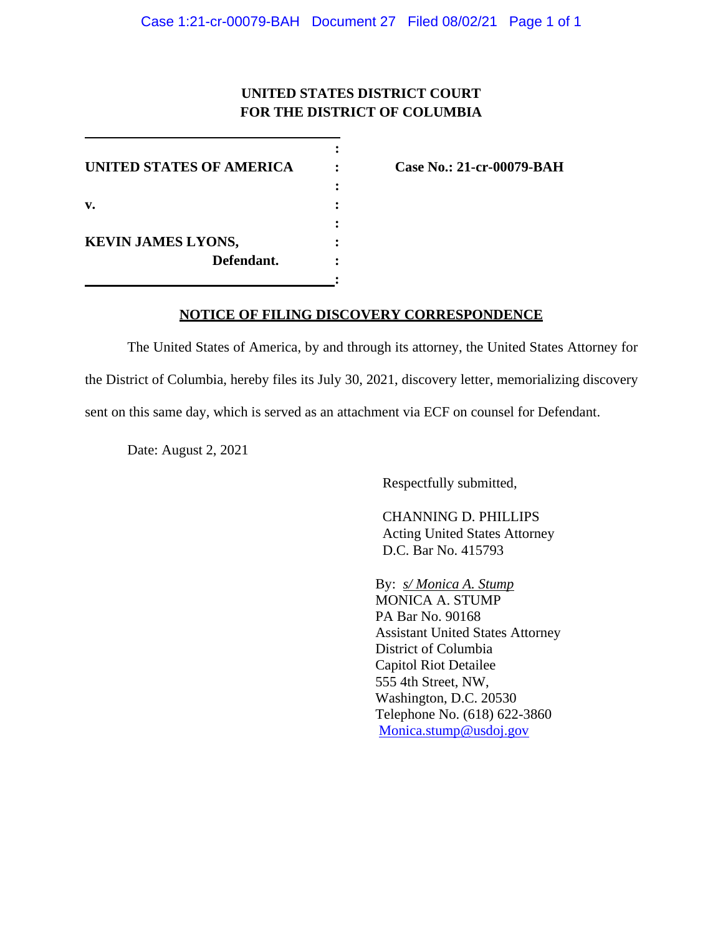## **UNITED STATES DISTRICT COURT FOR THE DISTRICT OF COLUMBIA**

**:**

**:**

**UNITED STATES OF AMERICA : Case No.: 21-cr-00079-BAH : v. : : KEVIN JAMES LYONS, : Defendant. :**

## **NOTICE OF FILING DISCOVERY CORRESPONDENCE**

The United States of America, by and through its attorney, the United States Attorney for the District of Columbia, hereby files its July 30, 2021, discovery letter, memorializing discovery sent on this same day, which is served as an attachment via ECF on counsel for Defendant.

Date: August 2, 2021

Respectfully submitted,

CHANNING D. PHILLIPS Acting United States Attorney D.C. Bar No. 415793

By: *s/ Monica A. Stump* MONICA A. STUMP PA Bar No. 90168 Assistant United States Attorney District of Columbia Capitol Riot Detailee 555 4th Street, NW, Washington, D.C. 20530 Telephone No. (618) 622-3860 Monica.stump@usdoj.gov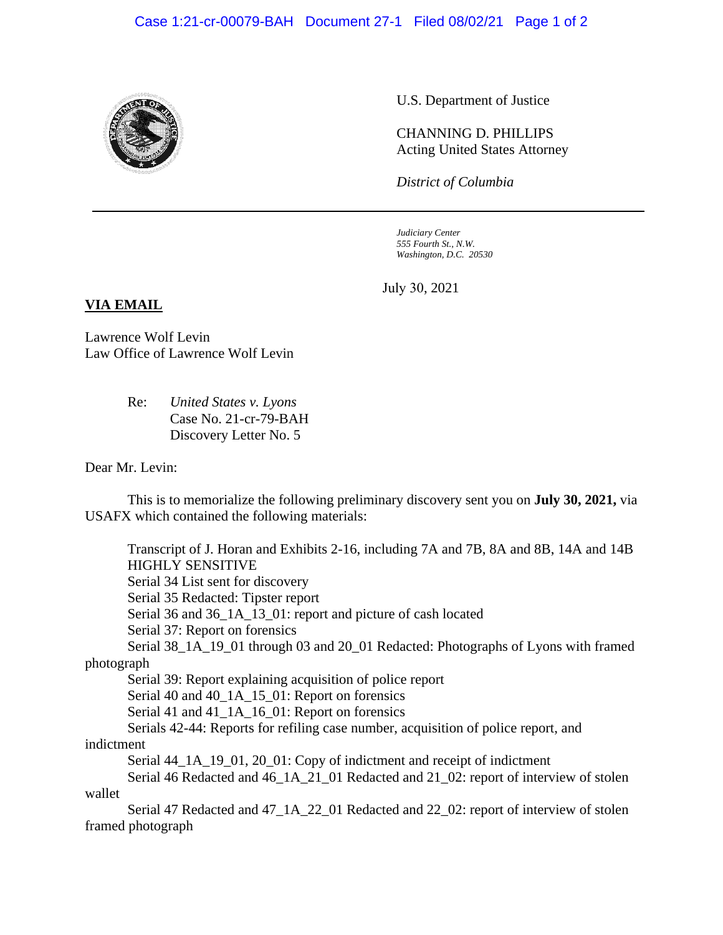

U.S. Department of Justice

CHANNING D. PHILLIPS Acting United States Attorney

*District of Columbia*

*Judiciary Center 555 Fourth St., N.W. Washington, D.C. 20530*

July 30, 2021

## **VIA EMAIL**

Lawrence Wolf Levin Law Office of Lawrence Wolf Levin

> Re: *United States v. Lyons* Case No. 21-cr-79-BAH Discovery Letter No. 5

Dear Mr. Levin:

This is to memorialize the following preliminary discovery sent you on **July 30, 2021,** via USAFX which contained the following materials:

Transcript of J. Horan and Exhibits 2-16, including 7A and 7B, 8A and 8B, 14A and 14B HIGHLY SENSITIVE Serial 34 List sent for discovery Serial 35 Redacted: Tipster report Serial 36 and 36\_1A\_13\_01: report and picture of cash located Serial 37: Report on forensics Serial 38\_1A\_19\_01 through 03 and 20\_01 Redacted: Photographs of Lyons with framed photograph Serial 39: Report explaining acquisition of police report Serial 40 and 40\_1A\_15\_01: Report on forensics Serial 41 and 41\_1A\_16\_01: Report on forensics Serials 42-44: Reports for refiling case number, acquisition of police report, and indictment Serial 44\_1A\_19\_01, 20\_01: Copy of indictment and receipt of indictment Serial 46 Redacted and 46\_1A\_21\_01 Redacted and 21\_02: report of interview of stolen wallet Serial 47 Redacted and 47\_1A\_22\_01 Redacted and 22\_02: report of interview of stolen framed photograph